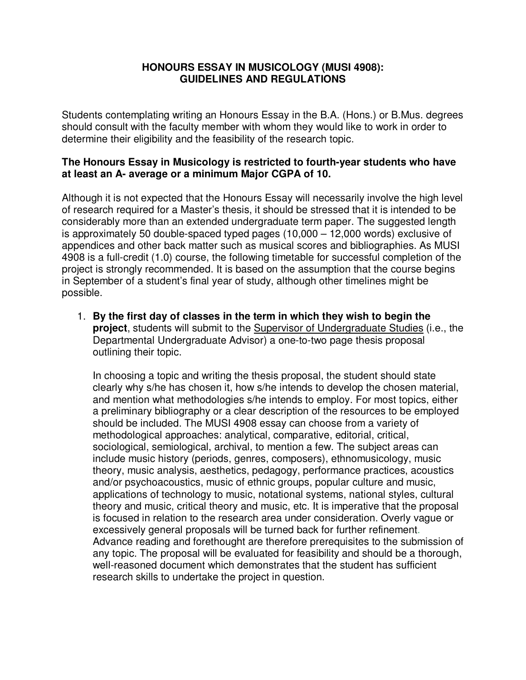## **HONOURS ESSAY IN MUSICOLOGY (MUSI 4908): GUIDELINES AND REGULATIONS**

Students contemplating writing an Honours Essay in the B.A. (Hons.) or B.Mus. degrees should consult with the faculty member with whom they would like to work in order to determine their eligibility and the feasibility of the research topic.

## **The Honours Essay in Musicology is restricted to fourth-year students who have at least an A- average or a minimum Major CGPA of 10.**

Although it is not expected that the Honours Essay will necessarily involve the high level of research required for a Master's thesis, it should be stressed that it is intended to be considerably more than an extended undergraduate term paper. The suggested length is approximately 50 double-spaced typed pages (10,000 – 12,000 words) exclusive of appendices and other back matter such as musical scores and bibliographies. As MUSI 4908 is a full-credit (1.0) course, the following timetable for successful completion of the project is strongly recommended. It is based on the assumption that the course begins in September of a student's final year of study, although other timelines might be possible.

1. **By the first day of classes in the term in which they wish to begin the project**, students will submit to the Supervisor of Undergraduate Studies (i.e., the Departmental Undergraduate Advisor) a one-to-two page thesis proposal outlining their topic.

In choosing a topic and writing the thesis proposal, the student should state clearly why s/he has chosen it, how s/he intends to develop the chosen material, and mention what methodologies s/he intends to employ. For most topics, either a preliminary bibliography or a clear description of the resources to be employed should be included. The MUSI 4908 essay can choose from a variety of methodological approaches: analytical, comparative, editorial, critical, sociological, semiological, archival, to mention a few. The subject areas can include music history (periods, genres, composers), ethnomusicology, music theory, music analysis, aesthetics, pedagogy, performance practices, acoustics and/or psychoacoustics, music of ethnic groups, popular culture and music, applications of technology to music, notational systems, national styles, cultural theory and music, critical theory and music, etc. It is imperative that the proposal is focused in relation to the research area under consideration. Overly vague or excessively general proposals will be turned back for further refinement. Advance reading and forethought are therefore prerequisites to the submission of any topic. The proposal will be evaluated for feasibility and should be a thorough, well-reasoned document which demonstrates that the student has sufficient research skills to undertake the project in question.